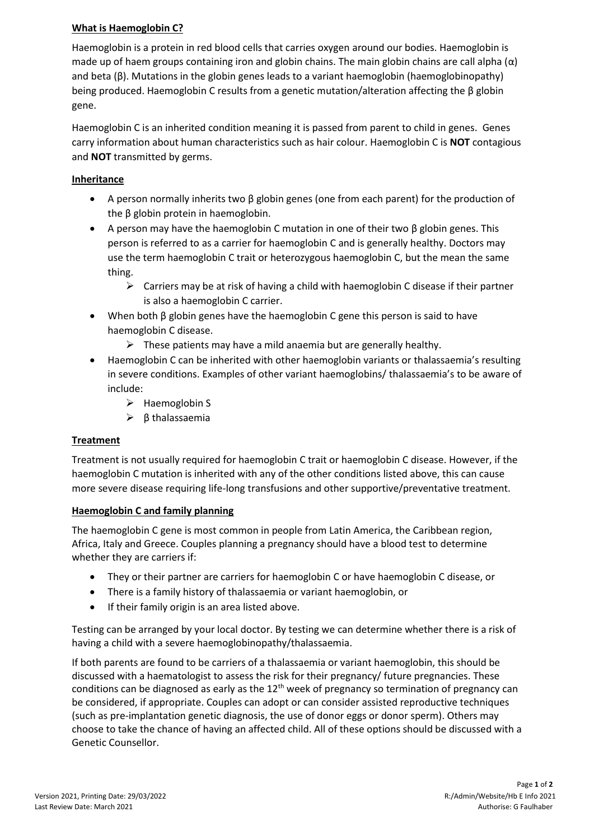### **What is Haemoglobin C?**

Haemoglobin is a protein in red blood cells that carries oxygen around our bodies. Haemoglobin is made up of haem groups containing iron and globin chains. The main globin chains are call alpha  $(\alpha)$ and beta (β). Mutations in the globin genes leads to a variant haemoglobin (haemoglobinopathy) being produced. Haemoglobin C results from a genetic mutation/alteration affecting the β globin gene.

Haemoglobin C is an inherited condition meaning it is passed from parent to child in genes. Genes carry information about human characteristics such as hair colour. Haemoglobin C is **NOT** contagious and **NOT** transmitted by germs.

#### **Inheritance**

- A person normally inherits two β globin genes (one from each parent) for the production of the β globin protein in haemoglobin.
- A person may have the haemoglobin C mutation in one of their two β globin genes. This person is referred to as a carrier for haemoglobin C and is generally healthy. Doctors may use the term haemoglobin C trait or heterozygous haemoglobin C, but the mean the same thing.
	- $\triangleright$  Carriers may be at risk of having a child with haemoglobin C disease if their partner is also a haemoglobin C carrier.
- When both β globin genes have the haemoglobin C gene this person is said to have haemoglobin C disease.
	- $\triangleright$  These patients may have a mild anaemia but are generally healthy.
- Haemoglobin C can be inherited with other haemoglobin variants or thalassaemia's resulting in severe conditions. Examples of other variant haemoglobins/ thalassaemia's to be aware of include:
	- ➢ Haemoglobin S
	- ➢ β thalassaemia

# **Treatment**

Treatment is not usually required for haemoglobin C trait or haemoglobin C disease. However, if the haemoglobin C mutation is inherited with any of the other conditions listed above, this can cause more severe disease requiring life-long transfusions and other supportive/preventative treatment.

# **Haemoglobin C and family planning**

The haemoglobin C gene is most common in people from Latin America, the Caribbean region, Africa, Italy and Greece. Couples planning a pregnancy should have a blood test to determine whether they are carriers if:

- They or their partner are carriers for haemoglobin C or have haemoglobin C disease, or
- There is a family history of thalassaemia or variant haemoglobin, or
- If their family origin is an area listed above.

Testing can be arranged by your local doctor. By testing we can determine whether there is a risk of having a child with a severe haemoglobinopathy/thalassaemia.

If both parents are found to be carriers of a thalassaemia or variant haemoglobin, this should be discussed with a haematologist to assess the risk for their pregnancy/ future pregnancies. These conditions can be diagnosed as early as the  $12<sup>th</sup>$  week of pregnancy so termination of pregnancy can be considered, if appropriate. Couples can adopt or can consider assisted reproductive techniques (such as pre-implantation genetic diagnosis, the use of donor eggs or donor sperm). Others may choose to take the chance of having an affected child. All of these options should be discussed with a Genetic Counsellor.